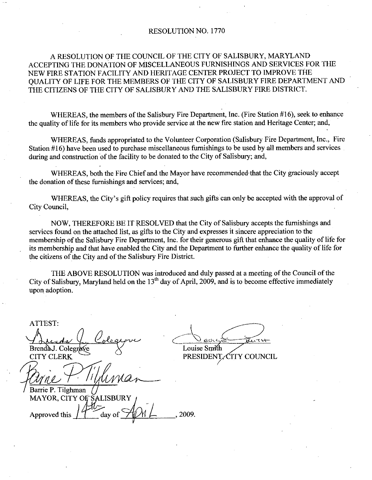#### RESOLUTION NO. 1770

### A RESOLUTION OF THE COUNCIL OF THE CITY OF SALISBURY, MARYLAND ACCEPTING THE DONATION OF MISCELLANEOUS FURNISHINGS AND SERVICES FOR THE NEW FIRE STATION FACILITY AND HERITAGE CENTER PROJECT TO IMPROVETHE QUALITY OF LIFE FOR THE MEMBERS OF THE CITY OF SALISBURY FIRE DEPARTMENT AND THE CITIZENS OF THE CITY OF SALISBURY AND THE SALISBURY FIRE DISTRICT.

WHEREAS, the members of the Salisbury Fire Department, Inc. (Fire Station #16), seek to enhance the quality of life for its members who provide service at the new fire station and Heritage Center; and,

WHEREAS, funds appropriated to the Volunteer Corporation (Salisbury Fire Department, Inc., Fire Station #16) have been used to purchase miscellaneous furnishings to be used by all members and services during and construction of the facility to be donated to the City of Salisbury; and,

WHEREAS, both the Fire Chief and the Mayor have recommended that the City graciously accept the donation of these furnishings and services; and,

WHEREAS, the City's gift policy requires that such gifts can only be accepted with the approval of City Council

NOW, THEREFORE BE IT RESOLVED that the City of Salisbury accepts the furnishings and services found on the attached list, as gifts to the City and expresses it sincere appreciation to the membership of the Salisbury Fire Department, Inc. for their generous gift that enhance the quality of life for its membership and that have enabled the City and the Department to further enhance the quality of life for the citizens of the City and of the Salisbury Fire District.

THE ABOVE RESOLUTION was introduced and duly passed at ameeting of the Council of the City of Salisbury, Maryland held on the  $13<sup>th</sup>$  day of April, 2009, and is to become effective immediately upon adoption

يد BrendaJ. Colegrave CITY CLERK Barrie P. Tilghman MAYOR, CITY OF SALISBURY Approved this 2009.

ATTEST

Louise Smith riet.<br>d and duly pass<br>April, 2009, and<br>April, 2009, and<br>Louise Smith<br>PRESIDENT

PRESIDENT, CITY COUNCIL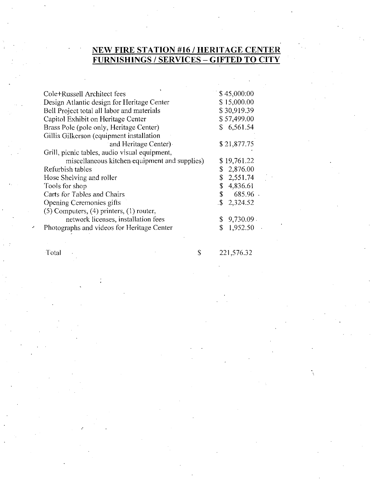## NEW FIRE STATION #16 / HERITAGE CENTER FURNISHINGS / SERVICES – GIFTED TO CITY

| Cole+Russell Architect fees                    | \$45,000:00              |
|------------------------------------------------|--------------------------|
| Design Atlantic design for Heritage Center     | \$15,000.00              |
| Bell Project total all labor and materials     | \$30,919.39              |
| Capitol Exhibit on Heritage Center             | \$57,499.00              |
| Brass Pole (pole only, Heritage Center)        | \$6,561.54               |
| Gillis Gilkerson (equipment installation       |                          |
| and Heritage Center)                           | \$21,877.75              |
| Grill, picnic tables, audio visual equipment,  |                          |
| miscellaneous kitchen equipment and supplies)  | \$19,761.22              |
| Refurbish tables                               | \$2,876.00               |
| Hose Shelving and roller                       | \$<br>2,551.74           |
| Tools for shop                                 | \$<br>4,836.61           |
| Carts for Tables and Chairs                    | \$<br>685.96             |
| Opening Ceremonies gifts                       | $\frac{1}{2}$ , 2,324.52 |
| $(5)$ Computers, $(4)$ printers, $(1)$ router, |                          |
| network licenses, installation fees            | $9,730.09$ .<br>\$       |
| Photographs and videos for Heritage Center     | \$<br>1,952.50           |
|                                                |                          |

Total \$221,576.32